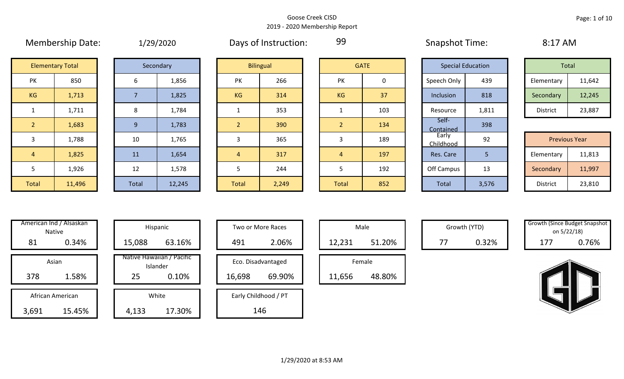99

|                | <b>Membership Date:</b><br>1/29/2020 |  |       |           |  |                  | Days of Instruction: | -99            |             |             | <b>Snapshot Time:</b> |                          | 8:17 AM               |  |  |       |
|----------------|--------------------------------------|--|-------|-----------|--|------------------|----------------------|----------------|-------------|-------------|-----------------------|--------------------------|-----------------------|--|--|-------|
|                | <b>Elementary Total</b>              |  |       | Secondary |  | <b>Bilingual</b> |                      |                |             | <b>GATE</b> |                       | <b>Special Education</b> |                       |  |  | Total |
| PK             | 850                                  |  | 6     | 1,856     |  | <b>PK</b>        | 266                  | <b>PK</b>      | $\mathbf 0$ |             | Speech Only           | 439                      | Elementary            |  |  |       |
| KG             | 1,713                                |  |       | 1,825     |  | <b>KG</b>        | 314                  | KG             | 37          |             | Inclusion             | 818                      | Secondary             |  |  |       |
| $\mathbf{1}$   | 1,711                                |  | 8     | 1,784     |  |                  | 353                  |                | 103         |             | Resource              | 1,811                    | District              |  |  |       |
| $\overline{2}$ | 1,683                                |  | 9     | 1,783     |  | $\overline{2}$   | 390                  | $\overline{2}$ | 134         |             | Self-<br>Contained    | 398                      |                       |  |  |       |
| 3              | 1,788                                |  | 10    | 1,765     |  | 3                | 365                  | 3              | 189         |             | Early<br>Childhood    | 92                       | Previous <sup>'</sup> |  |  |       |
| $\overline{4}$ | 1,825                                |  | 11    | 1,654     |  | 4                | 317                  | $\overline{4}$ | 197         |             | Res. Care             | 5.                       | Elementary            |  |  |       |
| 5              | 1,926                                |  | 12    | 1,578     |  | 5                | 244                  | 5              | 192         |             | Off Campus            | 13                       | Secondary             |  |  |       |
| <b>Total</b>   | 11,496                               |  | Total | 12,245    |  | <b>Total</b>     | 2,249                | <b>Total</b>   | 852         |             | Total                 | 3,576                    | District              |  |  |       |

|   | エノムシノムひんし |
|---|-----------|
|   | Secondary |
| 6 |           |

| <b>JULUITION</b> |        |
|------------------|--------|
| 6                | 1,856  |
| 7                | 1,825  |
| 8                | 1,784  |
| 9                | 1,783  |
| 10               | 1,765  |
| 11               | 1,654  |
| 12               | 1,578  |
| <b>Total</b>     | 12,245 |

|                | <b>Elementary Total</b> | Secondary |       | <b>Bilingual</b> |                | <b>GATE</b> |       | <b>Special Education</b> |                    |       | Total                |        |
|----------------|-------------------------|-----------|-------|------------------|----------------|-------------|-------|--------------------------|--------------------|-------|----------------------|--------|
| PK             | 850                     |           | 6     | 1,856            | <b>PK</b>      | 266         | PK    | 0                        | Speech Only        | 439   | Elementary           | 11,642 |
| KG             | 1,713                   |           |       | 1,825            | KG             | 314         | KG    | 37                       | Inclusion          | 818   | Secondary            | 12,245 |
|                | 1,711                   |           | 8     | 1,784            |                | 353         |       | 103                      | Resource           | 1,811 | District             | 23,887 |
| 2 <sup>1</sup> | 1,683                   |           | 9     | 1,783            | $\overline{2}$ | 390         |       | 134                      | Self-<br>Contained | 398   |                      |        |
| $\mathbf{3}$   | 1,788                   |           | 10    | 1,765            | 3              | 365         |       | 189                      | Early<br>Childhood | 92    | <b>Previous Year</b> |        |
| $\overline{4}$ | 1,825                   |           | 11    | 1,654            | $\overline{4}$ | 317         | 4     | 197                      | Res. Care          | 5     | Elementary           | 11,813 |
| 5              | 1,926                   |           | 12    | 1,578            |                | 244         |       | 192                      | Off Campus         | 13    | Secondary            | 11,997 |
| Total          | 11,496                  |           | Total | 12,245           | Total          | 2,249       | Total | 852                      | <b>Total</b>       | 3,576 | District             | 23,810 |

|                | <b>GATE</b> |
|----------------|-------------|
| PK             | 0           |
| KG             | 37          |
| $\mathbf{1}$   | 103         |
| $\overline{2}$ | 134         |
| 3              | 189         |
| $\overline{4}$ | 197         |
| 5              | 192         |
| <b>Total</b>   | 852         |

|                    | <b>Special Education</b> |                 | <b>Total</b>         |  |
|--------------------|--------------------------|-----------------|----------------------|--|
| Speech Only        | 439                      | Elementary      | 11,642               |  |
| Inclusion          | 818                      | Secondary       | 12,245               |  |
| Resource           | 1,811                    | <b>District</b> | 23,887               |  |
| Self-<br>Contained | 398                      |                 |                      |  |
| Early<br>Childhood | 92                       |                 | <b>Previous Year</b> |  |
| Res. Care          | 5                        | Elementary      | 11,813               |  |
| Off Campus         | 13                       | Secondary       | 11,997               |  |
| Total              | 3,576                    | <b>District</b> | 23,810               |  |

| Total           |        |
|-----------------|--------|
| Elementary      | 11,642 |
| Secondary       | 12,245 |
| <b>District</b> | 23,887 |

| <b>Previous Year</b> |        |  |  |  |  |  |
|----------------------|--------|--|--|--|--|--|
| Elementary           | 11,813 |  |  |  |  |  |
| Secondary            | 11,997 |  |  |  |  |  |
| <b>District</b>      | 23,810 |  |  |  |  |  |

| Hispani                    |                  | American Ind / Alsaskan<br><b>Native</b> |  |  |  |  |  |
|----------------------------|------------------|------------------------------------------|--|--|--|--|--|
| 15,088                     | 0.34%            | 81                                       |  |  |  |  |  |
| Native Hawaiiar<br>Islande |                  | Asian                                    |  |  |  |  |  |
| 25                         | 1.58%            | 378                                      |  |  |  |  |  |
| White                      | African American |                                          |  |  |  |  |  |
| 4,133                      | 15.45%           | 3,691                                    |  |  |  |  |  |

| illericali illu / Alsaskall<br>Native | Hispanic                              | Two or More Races    | Male             |    | Growth (YTD) | <b>Growth (Since Budget Shaps</b> | on 5/22/18) |
|---------------------------------------|---------------------------------------|----------------------|------------------|----|--------------|-----------------------------------|-------------|
| 81<br>0.34%                           | 63.16%<br>15,088                      | 2.06%<br>491         | 51.20%<br>12,231 | 77 | 0.32%        | 177                               | 0.76%       |
| Asian                                 | Native Hawaiian / Pacific<br>Islander | Eco. Disadvantaged   | Female           |    |              |                                   |             |
| 1.58%<br>378                          | 25<br>0.10%                           | 69.90%<br>16,698     | 48.80%<br>11,656 |    |              |                                   |             |
| African American                      | White                                 | Early Childhood / PT |                  |    |              |                                   |             |
| 15.45%<br>3,691                       | 17.30%<br>4,133                       | 146                  |                  |    |              |                                   |             |

| Hispanic                       |              | <b>Two or More Races</b> |        | Male   |
|--------------------------------|--------------|--------------------------|--------|--------|
| 63.16%                         | 2.06%<br>491 |                          | 12,231 |        |
| lawaiian / Pacific<br>Islander |              | Eco. Disadvantaged       |        | Female |
| 0.10%                          | 16,698       | 69.90%                   | 11,656 |        |
| White                          |              | Early Childhood / PT     |        |        |
| 17.30%                         |              | 146                      |        |        |

|        | Male   |  |
|--------|--------|--|
| 12,231 | 51.20% |  |
|        | Female |  |
| 11,656 | 48.80% |  |

Growth (YTD) Growth (Since Budget Snapshot on 5/22/18)

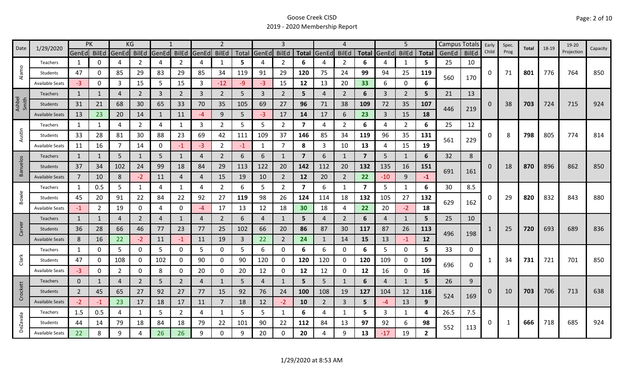| Date            | 1/29/2020              |                | PK             |                | KG             |                |                |                | 2              |      |              |                |                         |                | $\boldsymbol{\Delta}$ |                         |       | 5              |                | Campus Totals Early |              |       | Spec. | Total | 18-19 | 19-20      | Capacity |
|-----------------|------------------------|----------------|----------------|----------------|----------------|----------------|----------------|----------------|----------------|------|--------------|----------------|-------------------------|----------------|-----------------------|-------------------------|-------|----------------|----------------|---------------------|--------------|-------|-------|-------|-------|------------|----------|
|                 |                        | GenEd BilEd    |                | GenEd          | <b>BilEd</b>   | GenEd          | <b>BilEd</b>   | GenEd          | <b>BilEd</b>   |      | Total GenEd  | <b>BilEd</b>   | <b>Total</b>            | GenEd          | <b>BilEd</b>          | Total                   | GenEd | <b>BilEd</b>   | <b>Total</b>   | GenEd               | <b>BilEd</b> | Child | Prog  |       |       | Projection |          |
|                 | Teachers               | 1              | 0              | 4              | 2              | $\overline{A}$ | $\overline{2}$ | 4              | 1              | 5    | 4            | 2              | 6                       | 4              | $\overline{2}$        | 6                       | 4     | 1              | 5              | 25                  | 10           |       |       |       |       |            |          |
| Alamo           | Students               | 47             | O              | 85             | 29             | 83             | 29             | 85             | 34             | 119  | 91           | 29             | 120                     | 75             | 24                    | 99                      | 94    | 25             | 119            | 560                 | 170          | 0     | 71    | 801   | 776   | 764        | 850      |
|                 | <b>Available Seats</b> | $-3$           | 0              | 3              | 15             | 5              | 15             | 3              | $-12$          | $-9$ | $-3$         | 15             | 12                      | 13             | 20                    | 33                      | 6     | $\mathbf 0$    | 6              |                     |              |       |       |       |       |            |          |
|                 | Teachers               | $\mathbf{1}$   | 1              | $\overline{4}$ | $\overline{2}$ | 3              | $\overline{2}$ | 3              | $\overline{2}$ | 5    | 3            | $\overline{2}$ | 5                       | $\overline{4}$ | 2                     | 6                       | 3     | $\overline{2}$ | 5              | 21                  | 13           |       |       |       |       |            |          |
| Ashbel<br>Smith | Students               | 31             | 21             | 68             | 30             | 65             | 33             | 70             | 35             | 105  | 69           | 27             | 96                      | 71             | 38                    | 109                     | 72    | 35             | 107            |                     |              | 0     | 38    | 703   | 724   | 715        | 924      |
|                 | <b>Available Seats</b> | 13             | 23             | 20             | 14             | 1              | 11             | -4             | 9              | 5    | $-3$         | 17             | 14                      | 17             | 6                     | 23                      | 3     | 15             | 18             | 446                 | 219          |       |       |       |       |            |          |
|                 | Teachers               | 1              | 1              | 4              | $\overline{2}$ | 4              | 1              | 3              | $\overline{2}$ | 5    | 5            | $\mathbf{2}$   | 7                       | 4              | $\overline{2}$        | 6                       | 4     | $\overline{2}$ | 6              | 25                  | 12           |       |       |       |       |            |          |
| Austin          | Students               | 33             | 28             | 81             | 30             | 88             | 23             | 69             | 42             | 111  | 109          | 37             | 146                     | 85             | 34                    | 119                     | 96    | 35             | 131            |                     |              | 0     | 8     | 798   | 805   | 774        | 814      |
|                 | <b>Available Seats</b> | 11             | 16             | $\overline{7}$ | 14             | $\mathbf{0}$   | $-1$           | $-3$           | $\overline{2}$ | $-1$ | $\mathbf{1}$ | $\overline{7}$ | 8                       | 3              | 10                    | 13                      | 4     | 15             | 19             | 561                 | 229          |       |       |       |       |            |          |
|                 | Teachers               | $\mathbf{1}$   | 1              | 5              | $\mathbf{1}$   | 5              | $\mathbf{1}$   | $\overline{4}$ | $\overline{2}$ | 6    | 6            |                | $\overline{\mathbf{z}}$ | 6              | $\mathbf{1}$          | $\overline{\mathbf{z}}$ | 5     | $\mathbf{1}$   | 6              | 32                  | 8            |       |       |       |       |            |          |
| <b>Banuelos</b> | Students               | 37             | 34             | 102            | 24             | 99             | 18             | 84             | 29             | 113  | 122          | 20             | 142                     | 112            | 20                    | 132                     | 135   | 16             | 151            |                     |              | 0     | 18    | 870   | 896   | 862        | 850      |
|                 | <b>Available Seats</b> | $\overline{7}$ | 10             | 8              | $-2$           | 11             | 4              | 4              | 15             | 19   | 10           | $\overline{2}$ | 12                      | 20             | $\overline{2}$        | 22                      | $-10$ | 9              | $-1$           | 691                 | 161          |       |       |       |       |            |          |
|                 | Teachers               | 1              | 0.5            | 5              | $\mathbf{1}$   | 4              | 1              | 4              | $\overline{2}$ | 6    | 5            | $\overline{2}$ | $\overline{7}$          | 6              | -1                    | $\overline{7}$          | 5     | 1              | 6              | 30                  | 8.5          |       |       |       |       |            |          |
| Bowie           | Students               | 45             | 20             | 91             | 22             | 84             | 22             | 92             | 27             | 119  | 98           | 26             | 124                     | 114            | 18                    | 132                     | 105   | 27             | 132            |                     |              | 0     | 29    | 820   | 832   | 843        | 880      |
|                 | <b>Available Seats</b> | $-1$           | $\overline{2}$ | 19             | 0              | 4              | 0              | $-4$           | 17             | 13   | 12           | 18             | 30                      | 18             | 4                     | 22                      | 20    | $-2$           | 18             | 629                 | 162          |       |       |       |       |            |          |
|                 | Teachers               | 1              | $\mathbf{1}$   | 4              | $\overline{2}$ | $\overline{4}$ | $\mathbf{1}$   | 4              | $\overline{2}$ | 6    | 4            |                | 5                       | 4              | $\overline{2}$        | 6                       | 4     | $\mathbf{1}$   | 5              | 25                  | 10           |       |       |       |       |            |          |
| Carver          | Students               | 36             | 28             | 66             | 46             | 77             | 23             | 77             | 25             | 102  | 66           | 20             | 86                      | 87             | 30                    | 117                     | 87    | 26             | 113            |                     |              |       | 25    | 720   | 693   | 689        | 836      |
|                 | <b>Available Seats</b> | 8              | 16             | 22             | $-2$           | 11             | $-1$           | 11             | 19             | 3    | 22           | $\overline{2}$ | 24                      |                | 14                    | 15                      | 13    | $-1$           | 12             | 496                 | 198          |       |       |       |       |            |          |
|                 | Teachers               | 1              | 0              | 5              | 0              | 5              | 0              | 5              | 0              | 5    | 6            | 0              | 6                       | 6              | 0                     | 6                       | 5     | $\mathbf 0$    | 5.             | 33                  | 0            |       |       |       |       |            |          |
| Clark           | Students               | 47             | 0              | 108            | 0              | 102            | 0              | 90             | 0              | 90   | 120          | 0              | 120                     | 120            | 0                     | 120                     | 109   | 0              | 109            |                     |              |       | 34    | 731   | 721   | 701        | 850      |
|                 | <b>Available Seats</b> | $-3$           | O              | $\overline{2}$ | 0              | 8              | 0              | 20             | $\mathbf 0$    | 20   | 12           | 0              | 12                      | 12             | 0                     | 12                      | 16    | $\mathbf 0$    | 16             | 696                 | 0            |       |       |       |       |            |          |
|                 | <b>Teachers</b>        | $\mathbf 0$    | 1              | 4              | $\overline{2}$ | 5              | $\overline{2}$ | $\overline{4}$ | $\mathbf{1}$   | 5    | 4            |                | 5                       | 5 <sup>1</sup> | $\overline{1}$        | 6                       | 4     | $\mathbf{1}$   | 5              | 26                  | 9            |       |       |       |       |            |          |
| Crockett        | Students               | $\overline{2}$ | 45             | 65             | 27             | 92             | 27             | 77             | 15             | 92   | 76           | 24             | 100                     | 108            | 19                    | 127                     | 104   | 12             | 116            |                     |              | 0     | 10    | 703   | 706   | 713        | 638      |
|                 | <b>Available Seats</b> | $-2$           | -1             | 23             | 17             | 18             | 17             | 11             | 7              | 18   | 12           | $-2$           | 10                      | $\overline{2}$ | 3                     | 5 <sup>1</sup>          | -4    | 13             | 9 <sup>°</sup> | 524                 | 169          |       |       |       |       |            |          |
|                 | Teachers               | 1.5            | 0.5            | 4              | 1              | 5              | $\overline{2}$ | 4              | $\mathbf{1}$   | 5    | 5            | 1              | 6                       | 4              | -1                    | 5.                      | 3     | 1              | 4              | 26.5                | 7.5          |       |       |       |       |            |          |
| <b>DeZavala</b> | Students               | 44             | 14             | 79             | 18             | 84             | 18             | 79             | 22             | 101  | 90           | 22             | 112                     | 84             | 13                    | 97                      | 92    | 6              | 98             |                     |              | 0     | 1     | 666   | 718   | 685        | 924      |
|                 | <b>Available Seats</b> | 22             | 8              | 9              |                | 26             | 26             | 9              | 0              | q    | 20           | $\Omega$       | 20                      | 4              | 9                     | 13                      | $-17$ | 19             | $\overline{2}$ | 552                 | 113          |       |       |       |       |            |          |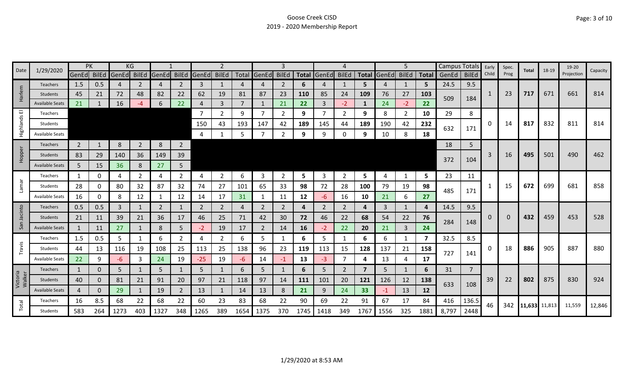|                    | 1/29/2020              | PK             |              |       | ΚG             |       |                |             |                |      |                |                |              |                |                |                |                   | 5              |       | Campus Totals |                | Early | Spec. | Total         | 18-19 | 19-20      | Capacity |
|--------------------|------------------------|----------------|--------------|-------|----------------|-------|----------------|-------------|----------------|------|----------------|----------------|--------------|----------------|----------------|----------------|-------------------|----------------|-------|---------------|----------------|-------|-------|---------------|-------|------------|----------|
| Date               |                        | GenEd BilEd    |              | GenEd | <b>BilEd</b>   | GenEd | <b>BilEd</b>   | GenEd BilEd |                |      | Total GenEd    | <b>BilEd</b>   | <b>Total</b> | GenEd          | <b>BilEd</b>   |                | Total GenEd BilEd |                | Total | GenEd         | <b>BilEd</b>   | Child | Prog  |               |       | Projection |          |
|                    | Teachers               | 1.5            | 0.5          | 4     | 2              | 4     | 2              | 3           | 1              |      | 4              |                | 6            |                | 1              | 5.             | 4                 | 1              | 5     | 24.5          | 9.5            |       |       |               |       |            |          |
| Harlem             | Students               | 45             | 21           | 72    | 48             | 82    | 22             | 62          | 19             | 81   | 87             | 23             | <b>110</b>   | 85             | 24             | 109            | 76                | 27             | 103   | 509           | 184            | 1     | 23    | 717           | 671   | 661        | 814      |
|                    | <b>Available Seats</b> | 21             |              | 16    | -4             | 6     | 22             | 4           | 3              |      | 1              | 21             | 22           | 3              | $-2$           | $\mathbf{1}$   | 24                | $-2$           | 22    |               |                |       |       |               |       |            |          |
| 画                  | Teachers               |                |              |       |                |       |                |             | $\overline{2}$ | 9    | $\overline{7}$ | 2              | 9            |                | $\overline{2}$ | 9              | 8                 | $\overline{2}$ | 10    | 29            | 8              |       |       |               |       |            |          |
| Highlands          | Students               |                |              |       |                |       |                | 150         | 43             | 193  | 147            | 42             | 189          | 145            | 44             | 189            | 190               | 42             | 232   | 632           | 171            | 0     | 14    | 817           | 832   | 811        | 814      |
|                    | <b>Available Seats</b> |                |              |       |                |       |                | 4           |                | 5    | 7              | 2              | 9            | 9              | $\mathbf 0$    | 9              | 10                | 8              | 18    |               |                |       |       |               |       |            |          |
|                    | Teachers               | $\overline{2}$ | 1            | 8     | $\overline{2}$ | 8     | $\overline{2}$ |             |                |      |                |                |              |                |                |                |                   |                |       | 18            | 5              |       |       |               |       |            |          |
| Hopper             | Students               | 83             | 29           | 140   | 36             | 149   | 39             |             |                |      |                |                |              |                |                |                |                   |                |       |               |                | 3     | 16    | 495           | 501   | 490        | 462      |
|                    | <b>Available Seats</b> | 5              | 15           | 36    | 8              | 27    | 5 <sup>1</sup> |             |                |      |                |                |              |                |                |                |                   |                |       | 372           | 104            |       |       |               |       |            |          |
|                    | Teachers               | 1              | 0            | 4     | $\overline{2}$ | 4     | $\overline{2}$ | 4           | $\overline{2}$ | 6    | 3              | $\overline{2}$ | 5            | 3              | $\overline{2}$ | 5              | 4                 | 1              | 5     | 23            | 11             |       |       |               |       |            |          |
| Lamar              | Students               | 28             | 0            | 80    | 32             | 87    | 32             | 74          | 27             | 101  | 65             | 33             | 98           | 72             | 28             | 100            | 79                | 19             | 98    |               |                |       | 15    | 672           | 699   | 681        | 858      |
|                    | <b>Available Seats</b> | 16             | 0            | 8     | 12             |       | 12             | 14          | 17             | 31   | 1              | 11             | 12           | -6             | 16             | 10             | 21                | 6              | 27    | 485           | 171            |       |       |               |       |            |          |
|                    | Teachers               | 0.5            | 0.5          | 3     | $\mathbf{1}$   | 2     | 1              | 2           | $\overline{2}$ | Δ    | 2              | 2              | 4            | $\overline{2}$ | 2              | 4              | 3                 | $\mathbf{1}$   | 4     | 14.5          | 9.5            |       |       |               |       |            |          |
| Jacinto            | Students               | 21             | 11           | 39    | 21             | 36    | 17             | 46          | 25             | 71   | 42             | 30             | 72           | 46             | 22             | 68             | 54                | 22             | 76    |               |                | 0     | 0     | 432           | 459   | 453        | 528      |
| San                | <b>Available Seats</b> | 1              | 11           | 27    | $\mathbf{1}$   | 8     | 5              | $-2$        | 19             | 17   | $\overline{2}$ | 14             | <b>16</b>    | $-2$           | 22             | 20             | 21                | 3              | 24    | 284           | 148            |       |       |               |       |            |          |
|                    | Teachers               | 1.5            | 0.5          | 5     |                | 6     | $\overline{2}$ | 4           | $\mathbf{2}$   | 6    | 5.             | 1              | 6            | 5              | -1             | 6              | 6                 | 1              | 7     | 32.5          | 8.5            |       |       |               |       |            |          |
| Travis             | Students               | 44             | 13           | 116   | 19             | 108   | 25             | 113         | 25             | 138  | 96             | 23             | 119          | 113            | 15             | 128            | 137               | 21             | 158   | 727           |                | 0     | 18    | 886           | 905   | 887        | 880      |
|                    | <b>Available Seats</b> | 22             | 9            | $-6$  | 3              | 24    | 19             | $-25$       | 19             | -6   | 14             | $-1$           | 13           | $-3$           | 7              | 4              | 13                | 4              | 17    |               | 141            |       |       |               |       |            |          |
|                    | <b>Teachers</b>        | $\mathbf{1}$   | $\Omega$     | 5     |                | 5     | $\mathbf{1}$   | 5           | $\mathbf{1}$   | 6    | 5              |                | 6            | 5              | 2              | $\overline{7}$ | 5                 | $\mathbf{1}$   | 6     | 31            | $\overline{7}$ |       |       |               |       |            |          |
| Victoria<br>Walker | <b>Students</b>        | 40             | $\mathbf{0}$ | 81    | 21             | 91    | 20             | 97          | 21             | 118  | 97             | 14             | 111          | 101            | 20             | 121            | 126               | 12             | 138   |               |                | 39    | 22    | 802           | 875   | 830        | 924      |
|                    | Available Seats        | 4              | 0            | 29    | $\mathbf{1}$   | 19    | $\overline{2}$ | 13          | $\mathbf{1}$   | 14   | 13             | 8              | 21           | 9              | 24             | 33             | $-1$              | 13             | 12    | 633           | 108            |       |       |               |       |            |          |
|                    | Teachers               | 16             | 8.5          | 68    | 22             | 68    | 22             | 60          | 23             | 83   | 68             | 22             | 90           | 69             | 22             | 91             | 67                | 17             | 84    | 416           | 136.5          |       |       |               |       |            |          |
| Total              | <b>Students</b>        | 583            | 264          | 1273  | 403            | 1327  | 348            | 1265        | 389            | 1654 | 1375           | 370            | 1745         | 1418           | 349            | 1767           | 1556              | 325            | 1881  | 8,797         | 2448           | 46    | 342   | 11,633 11,813 |       | 11,559     | 12,846   |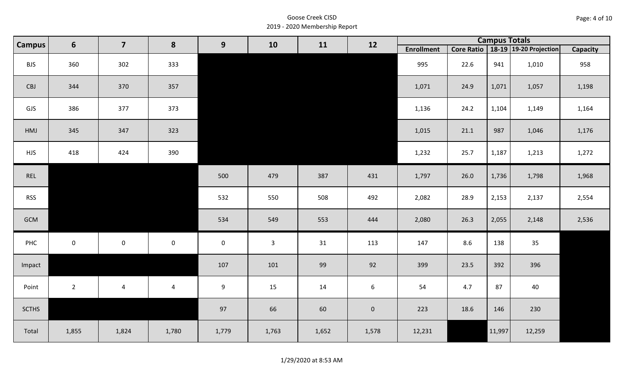| Page: 4 of 10 |  |
|---------------|--|
|---------------|--|

| <b>Campus</b> | 6            | $\overline{\mathbf{7}}$ | 8                       | 9           | 10           | 11    | 12          |                   |      | <b>Campus Totals</b> |                                       |                 |
|---------------|--------------|-------------------------|-------------------------|-------------|--------------|-------|-------------|-------------------|------|----------------------|---------------------------------------|-----------------|
|               |              |                         |                         |             |              |       |             | <b>Enrollment</b> |      |                      | Core Ratio   18-19   19-20 Projection | <b>Capacity</b> |
| <b>BJS</b>    | 360          | 302                     | 333                     |             |              |       |             | 995               | 22.6 | 941                  | 1,010                                 | 958             |
| CBJ           | 344          | 370                     | 357                     |             |              |       |             | 1,071             | 24.9 | 1,071                | 1,057                                 | 1,198           |
| GJS           | 386          | 377                     | 373                     |             |              |       |             | 1,136             | 24.2 | 1,104                | 1,149                                 | 1,164           |
| HMJ           | 345          | 347                     | 323                     |             |              |       |             | 1,015             | 21.1 | 987                  | 1,046                                 | 1,176           |
| <b>HJS</b>    | 418          | 424                     | 390                     |             |              |       |             | 1,232             | 25.7 | 1,187                | 1,213                                 | 1,272           |
| REL           |              |                         |                         | 500         | 479          | 387   | 431         | 1,797             | 26.0 | 1,736                | 1,798                                 | 1,968           |
| <b>RSS</b>    |              |                         |                         | 532         | 550          | 508   | 492         | 2,082             | 28.9 | 2,153                | 2,137                                 | 2,554           |
| GCM           |              |                         |                         | 534         | 549          | 553   | 444         | 2,080             | 26.3 | 2,055                | 2,148                                 | 2,536           |
| PHC           | $\mathbf{0}$ | $\mathbf 0$             | $\mathbf 0$             | $\mathbf 0$ | $\mathbf{3}$ | 31    | 113         | 147               | 8.6  | 138                  | 35                                    |                 |
| Impact        |              |                         |                         | 107         | 101          | 99    | 92          | 399               | 23.5 | 392                  | 396                                   |                 |
| Point         | $2^{\circ}$  | $\overline{4}$          | $\overline{\mathbf{4}}$ | 9           | 15           | 14    | 6           | 54                | 4.7  | 87                   | 40                                    |                 |
| <b>SCTHS</b>  |              |                         |                         | 97          | 66           | 60    | $\mathbf 0$ | 223               | 18.6 | 146                  | 230                                   |                 |
| Total         | 1,855        | 1,824                   | 1,780                   | 1,779       | 1,763        | 1,652 | 1,578       | 12,231            |      | 11,997               | 12,259                                |                 |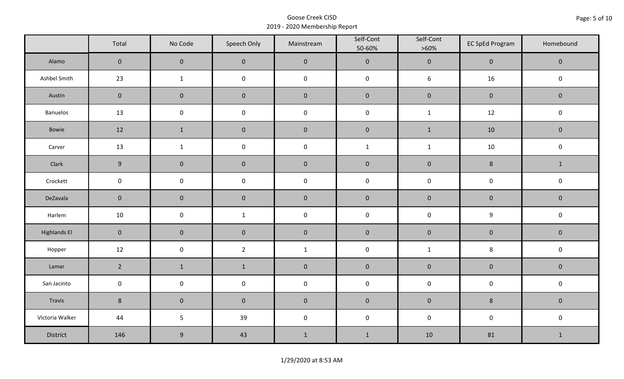|                     | Total          | No Code             | Speech Only         | Mainstream   | Self-Cont<br>50-60% | Self-Cont<br>$>60\%$ | <b>EC SpEd Program</b> | Homebound    |
|---------------------|----------------|---------------------|---------------------|--------------|---------------------|----------------------|------------------------|--------------|
| Alamo               | $\overline{0}$ | $\mathbf 0$         | $\mathbf 0$         | $\pmb{0}$    | $\pmb{0}$           | $\pmb{0}$            | $\mathsf{O}\xspace$    | $\mathbf 0$  |
| Ashbel Smith        | 23             | $\mathbf{1}$        | $\mathsf{O}\xspace$ | $\pmb{0}$    | $\pmb{0}$           | $\boldsymbol{6}$     | 16                     | $\mathbf 0$  |
| Austin              | $\mathbf 0$    | $\mathbf 0$         | $\mathbf 0$         | $\pmb{0}$    | $\pmb{0}$           | $\pmb{0}$            | $\mathbf 0$            | $\mathbf 0$  |
| <b>Banuelos</b>     | 13             | $\pmb{0}$           | $\pmb{0}$           | $\pmb{0}$    | $\mathsf 0$         | $\mathbf 1$          | 12                     | $\pmb{0}$    |
| Bowie               | 12             | $\mathbf{1}$        | $\mathbf 0$         | $\pmb{0}$    | $\pmb{0}$           | $\mathbf{1}$         | 10                     | $\mathbf 0$  |
| Carver              | 13             | $\mathbf{1}$        | $\mathsf{O}\xspace$ | $\pmb{0}$    | $\mathbf 1$         | $\mathbf 1$          | $10\,$                 | $\pmb{0}$    |
| Clark               | 9              | $\mathbf 0$         | $\pmb{0}$           | $\pmb{0}$    | $\pmb{0}$           | $\pmb{0}$            | $\bf 8$                | $\mathbf{1}$ |
| Crockett            | $\mathbf 0$    | $\mathsf 0$         | $\pmb{0}$           | $\pmb{0}$    | $\pmb{0}$           | $\pmb{0}$            | $\pmb{0}$              | $\pmb{0}$    |
| DeZavala            | $\mathbf 0$    | $\mathsf{O}\xspace$ | $\mathbf 0$         | $\pmb{0}$    | $\pmb{0}$           | $\pmb{0}$            | $\pmb{0}$              | $\mathbf 0$  |
| Harlem              | 10             | $\mathsf 0$         | $\mathbf{1}$        | $\pmb{0}$    | $\pmb{0}$           | $\pmb{0}$            | $\mathsf 9$            | $\pmb{0}$    |
| <b>Highlands El</b> | $\mathbf 0$    | $\mathbf 0$         | $\mathbf 0$         | $\pmb{0}$    | $\pmb{0}$           | $\pmb{0}$            | $\pmb{0}$              | $\mathbf 0$  |
| Hopper              | 12             | $\pmb{0}$           | $\overline{2}$      | $\mathbf{1}$ | $\pmb{0}$           | $\mathbf{1}$         | 8                      | $\pmb{0}$    |
| Lamar               | $\overline{2}$ | $\mathbf 1$         | $\mathbf 1$         | $\pmb{0}$    | $\pmb{0}$           | $\pmb{0}$            | $\pmb{0}$              | $\pmb{0}$    |
| San Jacinto         | $\mathbf 0$    | $\mathsf{O}\xspace$ | $\mathsf{O}\xspace$ | $\pmb{0}$    | $\pmb{0}$           | $\pmb{0}$            | $\pmb{0}$              | $\pmb{0}$    |
| Travis              | $8\phantom{.}$ | $\mathbf 0$         | $\mathbf 0$         | $\pmb{0}$    | $\pmb{0}$           | $\pmb{0}$            | $\bf 8$                | $\mathbf 0$  |
| Victoria Walker     | 44             | 5                   | 39                  | $\pmb{0}$    | $\pmb{0}$           | $\mathsf 0$          | $\pmb{0}$              | $\pmb{0}$    |
| District            | 146            | $\boldsymbol{9}$    | 43                  | $1\,$        | $1\,$               | 10                   | 81                     | $\mathbf{1}$ |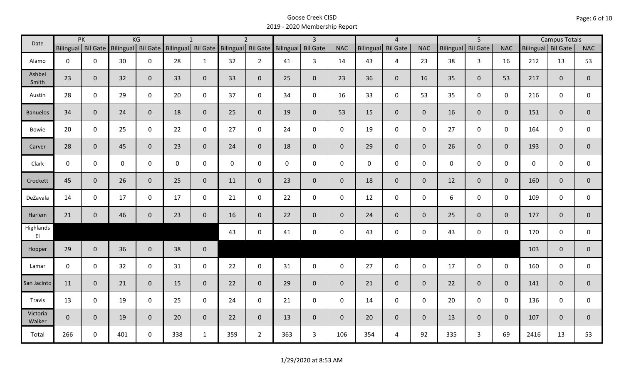| Date                                |              | PK                 |           | KG              |     | $\mathbf{1}$       |                    | $\overline{2}$ |             | $\overline{3}$  |                |             | $\overline{4}$      |                |                  | $\overline{5}$  |                |                    | <b>Campus Totals</b> |                |
|-------------------------------------|--------------|--------------------|-----------|-----------------|-----|--------------------|--------------------|----------------|-------------|-----------------|----------------|-------------|---------------------|----------------|------------------|-----------------|----------------|--------------------|----------------------|----------------|
|                                     |              | Bilingual Bil Gate | Bilingual | <b>Bil Gate</b> |     | Bilingual Bil Gate | Bilingual Bil Gate |                | Bilingual   | <b>Bil Gate</b> | <b>NAC</b>     | Bilingual   | <b>Bil Gate</b>     | <b>NAC</b>     | <b>Bilingual</b> | <b>Bil Gate</b> | <b>NAC</b>     | Bilingual Bil Gate |                      | <b>NAC</b>     |
| Alamo                               | $\mathbf 0$  | $\mathbf 0$        | 30        | $\mathbf 0$     | 28  | $\mathbf{1}$       | 32                 | $\overline{2}$ | 41          | $\overline{3}$  | 14             | 43          | $\overline{4}$      | 23             | 38               | 3               | 16             | 212                | 13                   | 53             |
| Ashbel<br>Smith                     | 23           | $\mathbf{0}$       | 32        | $\overline{0}$  | 33  | $\overline{0}$     | 33                 | $\overline{0}$ | 25          | $\overline{0}$  | 23             | 36          | $\overline{0}$      | 16             | 35               | $\overline{0}$  | 53             | 217                | $\overline{0}$       | 0              |
| Austin                              | 28           | $\mathbf 0$        | 29        | $\mathbf 0$     | 20  | $\mathbf 0$        | 37                 | $\mathbf 0$    | 34          | $\mathsf{O}$    | 16             | 33          | $\mathsf{O}\xspace$ | 53             | 35               | $\overline{0}$  | $\mathbf 0$    | 216                | $\mathbf 0$          | 0              |
| <b>Banuelos</b>                     | 34           | $\mathbf{0}$       | 24        | $\mathbf{0}$    | 18  | $\mathbf{0}$       | 25                 | $\overline{0}$ | 19          | $\overline{0}$  | 53             | 15          | $\overline{0}$      | $\overline{0}$ | 16               | $\overline{0}$  | $\overline{0}$ | 151                | $\overline{0}$       | $\overline{0}$ |
| Bowie                               | 20           | $\mathbf 0$        | 25        | $\mathsf{O}$    | 22  | $\mathbf 0$        | 27                 | $\mathbf 0$    | 24          | $\mathbf 0$     | $\mathbf 0$    | 19          | $\mathbf 0$         | $\mathbf 0$    | 27               | $\mathbf 0$     | $\mathbf 0$    | 164                | $\mathbf 0$          | 0              |
| Carver                              | 28           | $\mathbf{0}$       | 45        | $\mathbf 0$     | 23  | $\mathbf{0}$       | 24                 | $\overline{0}$ | 18          | $\overline{0}$  | $\overline{0}$ | 29          | $\overline{0}$      | $\overline{0}$ | 26               | $\overline{0}$  | $\overline{0}$ | 193                | $\overline{0}$       | $\overline{0}$ |
| Clark                               | $\mathsf{O}$ | $\mathbf 0$        | 0         | $\mathbf 0$     | 0   | 0                  | $\mathbf 0$        | $\mathbf 0$    | $\mathbf 0$ | $\mathbf 0$     | $\mathbf 0$    | $\mathbf 0$ | $\mathsf{O}$        | $\mathbf 0$    | $\mathbf 0$      | $\mathbf 0$     | $\mathbf 0$    | 0                  | $\mathbf 0$          | 0              |
| Crockett                            | 45           | $\mathbf{0}$       | 26        | $\mathbf 0$     | 25  | $\mathbf{0}$       | 11                 | $\overline{0}$ | 23          | $\overline{0}$  | $\overline{0}$ | 18          | $\overline{0}$      | $\overline{0}$ | 12               | $\overline{0}$  | $\mathbf{0}$   | 160                | $\overline{0}$       | $\overline{0}$ |
| DeZavala                            | 14           | $\mathbf 0$        | 17        | $\mathsf{O}$    | 17  | $\mathbf 0$        | 21                 | $\mathbf 0$    | 22          | $\mathsf{O}$    | $\mathbf 0$    | 12          | $\mathbf 0$         | $\mathbf 0$    | 6                | $\mathbf 0$     | $\mathbf 0$    | 109                | $\mathbf 0$          | $\mathbf 0$    |
| Harlem                              | 21           | $\mathbf{0}$       | 46        | $\mathbf 0$     | 23  | $\mathbf 0$        | 16                 | $\overline{0}$ | 22          | $\overline{0}$  | $\overline{0}$ | 24          | $\overline{0}$      | $\overline{0}$ | 25               | $\overline{0}$  | $\overline{0}$ | 177                | $\mathbf{0}$         | $\mathbf{0}$   |
| Highlands<br>$\mathsf{E}\mathsf{I}$ |              |                    |           |                 |     |                    | 43                 | $\mathbf 0$    | 41          | $\mathsf{O}$    | $\mathbf 0$    | 43          | $\mathbf 0$         | $\mathsf{O}$   | 43               | $\mathbf 0$     | $\mathbf 0$    | 170                | $\mathbf 0$          | $\mathbf 0$    |
| Hopper                              | 29           | $\mathbf{0}$       | 36        | $\overline{0}$  | 38  | $\mathbf 0$        |                    |                |             |                 |                |             |                     |                |                  |                 |                | 103                | $\mathbf{0}$         | $\mathbf 0$    |
| Lamar                               | $\mathbf 0$  | $\mathbf 0$        | 32        | $\mathbf 0$     | 31  | $\mathbf 0$        | 22                 | $\mathbf 0$    | 31          | $\mathbf 0$     | $\mathbf 0$    | 27          | $\mathbf 0$         | $\mathsf{O}$   | 17               | $\mathbf 0$     | $\mathbf 0$    | 160                | $\mathbf 0$          | $\mathbf 0$    |
| San Jacinto                         | 11           | $\mathbf{0}$       | 21        | $\mathbf{0}$    | 15  | $\mathbf{0}$       | 22                 | $\overline{0}$ | 29          | $\overline{0}$  | $\mathbf{0}$   | 21          | $\mathbf 0$         | $\overline{0}$ | 22               | $\overline{0}$  | $\mathbf{0}$   | 141                | $\mathbf{0}$         | $\overline{0}$ |
| Travis                              | 13           | $\mathbf 0$        | 19        | $\mathbf 0$     | 25  | $\mathbf 0$        | 24                 | $\mathbf 0$    | 21          | $\mathbf 0$     | $\mathbf 0$    | 14          | $\mathbf 0$         | $\mathbf 0$    | 20               | $\mathbf 0$     | $\mathbf 0$    | 136                | $\mathbf 0$          | $\mathbf 0$    |
| Victoria<br>Walker                  | $\mathbf{0}$ | $\mathbf 0$        | 19        | $\mathbf 0$     | 20  | $\mathbf{0}$       | 22                 | $\overline{0}$ | 13          | $\overline{0}$  | $\mathbf 0$    | 20          | $\overline{0}$      | $\overline{0}$ | 13               | $\mathbf{0}$    | $\mathbf{0}$   | 107                | $\mathbf{0}$         | $\mathbf{0}$   |
| Total                               | 266          | $\mathbf 0$        | 401       | $\mathbf 0$     | 338 | $\mathbf{1}$       | 359                | $2^{\circ}$    | 363         | $\mathbf{3}$    | 106            | 354         | $\overline{4}$      | 92             | 335              | $\mathbf{3}$    | 69             | 2416               | 13                   | 53             |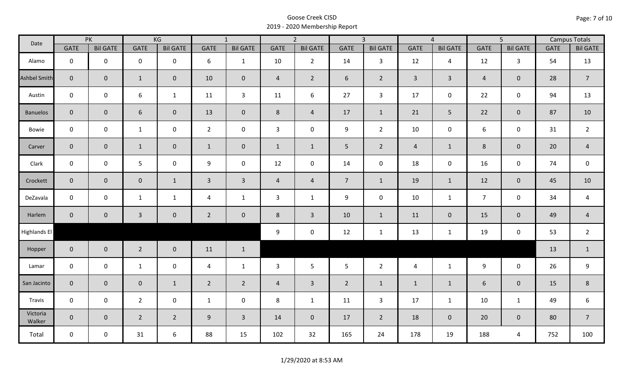| Date                |                | PK              |                     | KG              |                | $\overline{1}$  |                | $\overline{2}$  |                | $\overline{3}$  |                | $\overline{4}$  |                | $\overline{5}$  |             | <b>Campus Totals</b> |
|---------------------|----------------|-----------------|---------------------|-----------------|----------------|-----------------|----------------|-----------------|----------------|-----------------|----------------|-----------------|----------------|-----------------|-------------|----------------------|
|                     | <b>GATE</b>    | <b>Bil GATE</b> | <b>GATE</b>         | <b>Bil GATE</b> | <b>GATE</b>    | <b>Bil GATE</b> | <b>GATE</b>    | <b>Bil GATE</b> | <b>GATE</b>    | <b>Bil GATE</b> | <b>GATE</b>    | <b>Bil GATE</b> | <b>GATE</b>    | <b>Bil GATE</b> | <b>GATE</b> | <b>Bil GATE</b>      |
| Alamo               | $\mathbf 0$    | $\mathbf 0$     | $\mathbf 0$         | $\mathbf 0$     | 6              | $\mathbf{1}$    | 10             | $\overline{2}$  | 14             | $\mathbf{3}$    | 12             | $\overline{4}$  | 12             | $\mathbf{3}$    | 54          | 13                   |
| <b>Ashbel Smith</b> | $\mathbf{0}$   | $\mathbf 0$     | $\mathbf{1}$        | $\overline{0}$  | 10             | $\mathbf 0$     | $\overline{4}$ | $\overline{2}$  | 6              | $\overline{2}$  | $\overline{3}$ | $\mathbf{3}$    | $\overline{4}$ | $\mathbf{0}$    | 28          | $\overline{7}$       |
| Austin              | $\mathbf 0$    | $\mathbf 0$     | $\boldsymbol{6}$    | $\mathbf{1}$    | 11             | $\overline{3}$  | 11             | 6               | 27             | $\mathbf{3}$    | 17             | $\mathbf 0$     | 22             | $\mathbf 0$     | 94          | 13                   |
| <b>Banuelos</b>     | $\overline{0}$ | $\overline{0}$  | 6                   | $\mathbf{0}$    | 13             | $\mathbf 0$     | 8              | $\overline{4}$  | 17             | $\mathbf{1}$    | 21             | 5               | 22             | $\mathbf{0}$    | 87          | 10                   |
| Bowie               | $\mathbf 0$    | $\mathbf 0$     | $\mathbf{1}$        | $\mathbf 0$     | $2^{\circ}$    | $\mathbf 0$     | $\mathbf{3}$   | $\mathbf 0$     | 9              | $2^{\circ}$     | 10             | 0               | 6              | $\mathbf 0$     | 31          | $\overline{2}$       |
| Carver              | $\overline{0}$ | $\mathbf 0$     | $\mathbf{1}$        | $\mathbf{0}$    | $\mathbf{1}$   | $\overline{0}$  | $\mathbf{1}$   | $\mathbf{1}$    | 5 <sup>1</sup> | $\overline{2}$  | $\overline{4}$ | $\mathbf{1}$    | 8              | $\overline{0}$  | 20          | $\sqrt{4}$           |
| Clark               | $\mathbf 0$    | $\mathbf 0$     | 5                   | $\mathbf 0$     | 9              | $\mathbf 0$     | 12             | $\mathbf 0$     | 14             | $\mathbf 0$     | 18             | $\mathbf 0$     | 16             | $\mathbf 0$     | 74          | $\boldsymbol{0}$     |
| Crockett            | $\overline{0}$ | $\overline{0}$  | $\mathsf{O}\xspace$ | $\mathbf{1}$    | $\mathbf{3}$   | $\mathbf{3}$    | $\overline{4}$ | $\overline{4}$  | 7 <sup>7</sup> | $\mathbf{1}$    | 19             | $\mathbf{1}$    | 12             | $\mathbf 0$     | 45          | 10                   |
| DeZavala            | $\mathbf 0$    | $\mathbf 0$     | $\mathbf{1}$        | $\mathbf{1}$    | 4              | $\mathbf{1}$    | 3              | $\mathbf{1}$    | 9              | $\mathbf 0$     | 10             | $\mathbf{1}$    | $\overline{7}$ | $\mathbf 0$     | 34          | $\overline{a}$       |
| Harlem              | $\overline{0}$ | $\mathbf{0}$    | $\mathbf{3}$        | $\mathbf{0}$    | $\overline{2}$ | $\mathbf 0$     | 8              | $\mathbf{3}$    | 10             | $\mathbf{1}$    | 11             | $\mathbf 0$     | 15             | $\mathbf 0$     | 49          | $\overline{4}$       |
| Highlands El        |                |                 |                     |                 |                |                 | 9              | $\mathbf 0$     | 12             | $\mathbf{1}$    | 13             | $\mathbf{1}$    | 19             | $\mathbf 0$     | 53          | $\overline{2}$       |
| Hopper              | $\overline{0}$ | $\overline{0}$  | $\overline{2}$      | $\mathbf{0}$    | 11             | $\mathbf{1}$    |                |                 |                |                 |                |                 |                |                 | 13          | $\mathbf{1}$         |
| Lamar               | $\mathbf 0$    | $\mathbf 0$     | $\mathbf{1}$        | $\mathbf 0$     | $\overline{a}$ | $\mathbf{1}$    | $\mathbf{3}$   | 5               | $5\phantom{.}$ | $2^{\circ}$     | 4              | $\mathbf{1}$    | 9              | $\mathbf 0$     | 26          | $\boldsymbol{9}$     |
| San Jacinto         | $\overline{0}$ | $\overline{0}$  | $\mathbf 0$         | $\mathbf{1}$    | $\overline{2}$ | $\overline{2}$  | $\overline{4}$ | $\overline{3}$  | $\overline{2}$ | $\mathbf{1}$    | $\mathbf{1}$   | $\mathbf{1}$    | 6              | $\mathbf{0}$    | 15          | $\,8\,$              |
| Travis              | $\mathbf 0$    | $\mathbf 0$     | $\overline{2}$      | $\mathbf 0$     | $\mathbf{1}$   | $\mathbf 0$     | 8              | $\mathbf{1}$    | 11             | $\mathbf{3}$    | 17             | $\mathbf{1}$    | 10             | $\mathbf{1}$    | 49          | $\boldsymbol{6}$     |
| Victoria<br>Walker  | $\overline{0}$ | $\overline{0}$  | $\overline{2}$      | $\overline{2}$  | $9\,$          | $\overline{3}$  | 14             | $\mathbf{0}$    | 17             | $2^{\circ}$     | 18             | $\mathbf 0$     | 20             | $\mathbf{0}$    | 80          | $\overline{7}$       |
| Total               | $\mathbf 0$    | $\mathbf 0$     | 31                  | 6               | 88             | 15              | 102            | 32              | 165            | 24              | 178            | 19              | 188            | $\overline{4}$  | 752         | 100                  |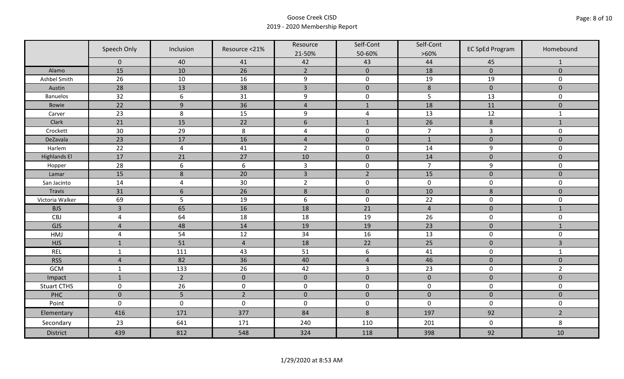|                     | Speech Only     | Inclusion       | Resource <21%  | Resource<br>21-50% | Self-Cont<br>50-60% | Self-Cont<br>$>60\%$ | <b>EC SpEd Program</b> | Homebound      |
|---------------------|-----------------|-----------------|----------------|--------------------|---------------------|----------------------|------------------------|----------------|
|                     | $\mathbf 0$     | 40              | 41             | 42                 | 43                  | 44                   | 45                     | $\mathbf{1}$   |
| Alamo               | 15              | 10              | 26             | $\overline{2}$     | $\mathbf 0$         | 18                   | $\mathbf{0}$           | $\mathbf{0}$   |
| Ashbel Smith        | 26              | 10              | 16             | $\boldsymbol{9}$   | $\pmb{0}$           | 19                   | 19                     | 0              |
| Austin              | 28              | 13              | 38             | $\overline{3}$     | $\mathbf 0$         | $\,8\,$              | $\mathbf 0$            | $\overline{0}$ |
| <b>Banuelos</b>     | 32              | $6\phantom{1}6$ | 31             | $\boldsymbol{9}$   | $\pmb{0}$           | 5                    | 13                     | 0              |
| Bowie               | 22              | $\overline{9}$  | 36             | $\sqrt{4}$         | $\mathbf{1}$        | 18                   | 11                     | $\mathbf 0$    |
| Carver              | 23              | 8               | 15             | $\boldsymbol{9}$   | $\sqrt{4}$          | 13                   | 12                     | $\mathbf{1}$   |
| Clark               | 21              | 15              | 22             | 6                  | $1\,$               | 26                   | $\,8\,$                | $1\,$          |
| Crockett            | 30              | 29              | 8              | $\overline{a}$     | $\pmb{0}$           | $\overline{7}$       | $\overline{3}$         | 0              |
| DeZavala            | 23              | 17              | 16             | $\overline{4}$     | $\pmb{0}$           | $1\,$                | $\pmb{0}$              | $\mathbf 0$    |
| Harlem              | $\overline{22}$ | $\overline{4}$  | 41             | $\overline{2}$     | $\pmb{0}$           | 14                   | 9                      | 0              |
| <b>Highlands El</b> | 17              | 21              | 27             | 10                 | $\pmb{0}$           | 14                   | $\pmb{0}$              | $\mathbf 0$    |
| Hopper              | 28              | 6               | 6              | $\mathsf{3}$       | $\pmb{0}$           | $\overline{7}$       | 9                      | 0              |
| Lamar               | 15              | $\bf 8$         | 20             | $\overline{3}$     | $\overline{2}$      | 15                   | $\mathbf 0$            | $\overline{0}$ |
| San Jacinto         | 14              | $\overline{4}$  | 30             | $\overline{2}$     | $\pmb{0}$           | $\pmb{0}$            | $\pmb{0}$              | 0              |
| Travis              | 31              | $6\,$           | 26             | $\,8$              | $\pmb{0}$           | 10                   | $\,8\,$                | $\mathbf 0$    |
| Victoria Walker     | 69              | 5               | 19             | $\boldsymbol{6}$   | $\pmb{0}$           | 22                   | $\pmb{0}$              | 0              |
| <b>BJS</b>          | $\overline{3}$  | 65              | 16             | 18                 | 21                  | $\overline{4}$       | $\pmb{0}$              | $\mathbf{1}$   |
| CBJ                 | $\overline{a}$  | 64              | 18             | 18                 | 19                  | 26                   | $\pmb{0}$              | 0              |
| GJS                 | $\overline{4}$  | 48              | 14             | 19                 | 19                  | 23                   | $\pmb{0}$              | $\mathbf{1}$   |
| HMJ                 | $\overline{4}$  | 54              | 12             | 34                 | 16                  | 13                   | $\mathbf 0$            | 0              |
| <b>HJS</b>          | $\mathbf{1}$    | 51              | $\overline{4}$ | 18                 | 22                  | 25                   | $\mathbf 0$            | $\overline{3}$ |
| <b>REL</b>          | $\mathbf{1}$    | 111             | 43             | 51                 | $\boldsymbol{6}$    | 41                   | $\pmb{0}$              | $\mathbf{1}$   |
| <b>RSS</b>          | $\overline{4}$  | 82              | 36             | 40                 | $\sqrt{4}$          | 46                   | $\mathbf 0$            | $\mathbf{0}$   |
| <b>GCM</b>          | $\mathbf{1}$    | 133             | 26             | 42                 | $\mathsf{3}$        | 23                   | $\pmb{0}$              | $\overline{2}$ |
| Impact              | $\mathbf{1}$    | $\overline{2}$  | $\mathbf 0$    | $\mathbf 0$        | $\pmb{0}$           | $\pmb{0}$            | $\pmb{0}$              | $\mathbf 0$    |
| <b>Stuart CTHS</b>  | $\mathsf 0$     | 26              | $\pmb{0}$      | $\pmb{0}$          | $\pmb{0}$           | $\pmb{0}$            | $\pmb{0}$              | 0              |
| PHC                 | $\mathbf 0$     | 5               | $\overline{2}$ | $\mathbf 0$        | $\mathbf 0$         | $\mathbf 0$          | $\mathbf 0$            | $\mathbf 0$    |
| Point               | $\mathbf 0$     | $\pmb{0}$       | $\pmb{0}$      | $\pmb{0}$          | $\pmb{0}$           | $\mathbf 0$          | $\pmb{0}$              | 0              |
| Elementary          | 416             | 171             | 377            | 84                 | $\,8$               | 197                  | 92                     | $\overline{2}$ |
| Secondary           | 23              | 641             | 171            | 240                | 110                 | 201                  | $\pmb{0}$              | 8              |
| <b>District</b>     | 439             | 812             | 548            | 324                | 118                 | 398                  | 92                     | 10             |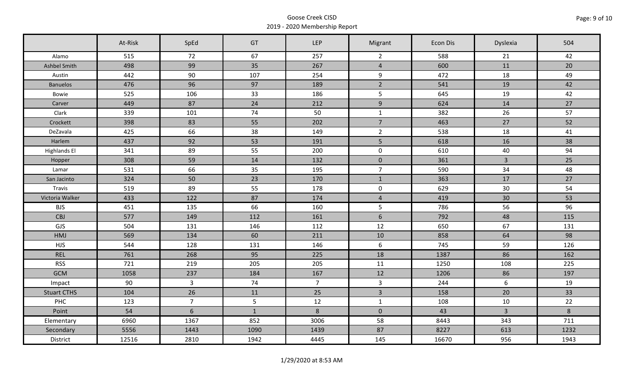|                     | At-Risk | SpEd           | GT           | <b>LEP</b>     | Migrant        | Econ Dis | Dyslexia     | 504     |
|---------------------|---------|----------------|--------------|----------------|----------------|----------|--------------|---------|
| Alamo               | 515     | 72             | 67           | 257            | $\overline{2}$ | 588      | 21           | 42      |
| Ashbel Smith        | 498     | 99             | 35           | 267            | $\overline{4}$ | 600      | 11           | 20      |
| Austin              | 442     | 90             | 107          | 254            | 9              | 472      | 18           | 49      |
| <b>Banuelos</b>     | 476     | 96             | 97           | 189            | $\overline{2}$ | 541      | 19           | 42      |
| Bowie               | 525     | 106            | 33           | 186            | 5              | 645      | 19           | 42      |
| Carver              | 449     | 87             | 24           | 212            | $\overline{9}$ | 624      | 14           | 27      |
| Clark               | 339     | 101            | 74           | 50             | $\mathbf{1}$   | 382      | 26           | 57      |
| Crockett            | 398     | 83             | 55           | 202            | $\overline{7}$ | 463      | 27           | 52      |
| DeZavala            | 425     | 66             | 38           | 149            | $\overline{2}$ | 538      | 18           | 41      |
| Harlem              | 437     | 92             | 53           | 191            | 5 <sup>1</sup> | 618      | 16           | 38      |
| <b>Highlands El</b> | 341     | 89             | 55           | 200            | $\mathbf 0$    | 610      | 40           | 94      |
| Hopper              | 308     | 59             | 14           | 132            | $\mathbf 0$    | 361      | $\mathbf{3}$ | 25      |
| Lamar               | 531     | 66             | 35           | 195            | $\overline{7}$ | 590      | 34           | 48      |
| San Jacinto         | 324     | 50             | 23           | 170            | $\mathbf{1}$   | 363      | 17           | 27      |
| Travis              | 519     | 89             | 55           | 178            | $\mathbf 0$    | 629      | 30           | 54      |
| Victoria Walker     | 433     | 122            | 87           | 174            | $\overline{4}$ | 419      | 30           | 53      |
| <b>BJS</b>          | 451     | 135            | 66           | 160            | 5              | 786      | 56           | 96      |
| <b>CBJ</b>          | 577     | 149            | 112          | 161            | $\sqrt{6}$     | 792      | 48           | 115     |
| GJS                 | 504     | 131            | 146          | 112            | 12             | 650      | 67           | 131     |
| <b>HMJ</b>          | 569     | 134            | 60           | 211            | 10             | 858      | 64           | 98      |
| <b>HJS</b>          | 544     | 128            | 131          | 146            | 6              | 745      | 59           | 126     |
| <b>REL</b>          | 761     | 268            | 95           | 225            | 18             | 1387     | 86           | 162     |
| <b>RSS</b>          | 721     | 219            | 205          | 205            | 11             | 1250     | 108          | 225     |
| <b>GCM</b>          | 1058    | 237            | 184          | 167            | 12             | 1206     | 86           | 197     |
| Impact              | 90      | $\overline{3}$ | 74           | 7 <sup>7</sup> | $\mathbf{3}$   | 244      | 6            | 19      |
| <b>Stuart CTHS</b>  | 104     | 26             | 11           | 25             | $\overline{3}$ | 158      | 20           | 33      |
| PHC                 | 123     | $\overline{7}$ | 5            | 12             | $\mathbf{1}$   | 108      | 10           | 22      |
| Point               | 54      | $6\phantom{a}$ | $\mathbf{1}$ | $\bf 8$        | $\mathbf 0$    | 43       | $\mathbf{3}$ | $\bf 8$ |
| Elementary          | 6960    | 1367           | 852          | 3006           | 58             | 8443     | 343          | 711     |
| Secondary           | 5556    | 1443           | 1090         | 1439           | 87             | 8227     | 613          | 1232    |
| District            | 12516   | 2810           | 1942         | 4445           | 145            | 16670    | 956          | 1943    |